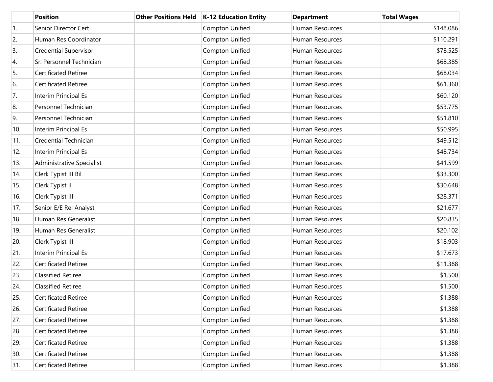|     | <b>Position</b>              | <b>Other Positions Held</b> | <b>K-12 Education Entity</b> | <b>Department</b> | <b>Total Wages</b> |
|-----|------------------------------|-----------------------------|------------------------------|-------------------|--------------------|
| 1.  | Senior Director Cert         |                             | Compton Unified              | Human Resources   | \$148,086          |
| 2.  | Human Res Coordinator        |                             | Compton Unified              | Human Resources   | \$110,291          |
| 3.  | <b>Credential Supervisor</b> |                             | Compton Unified              | Human Resources   | \$78,525           |
| 4.  | Sr. Personnel Technician     |                             | Compton Unified              | Human Resources   | \$68,385           |
| 5.  | Certificated Retiree         |                             | Compton Unified              | Human Resources   | \$68,034           |
| 6.  | Certificated Retiree         |                             | Compton Unified              | Human Resources   | \$61,360           |
| 7.  | Interim Principal Es         |                             | Compton Unified              | Human Resources   | \$60,120           |
| 8.  | Personnel Technician         |                             | Compton Unified              | Human Resources   | \$53,775           |
| 9.  | Personnel Technician         |                             | Compton Unified              | Human Resources   | \$51,810           |
| 10. | Interim Principal Es         |                             | Compton Unified              | Human Resources   | \$50,995           |
| 11. | Credential Technician        |                             | Compton Unified              | Human Resources   | \$49,512           |
| 12. | Interim Principal Es         |                             | Compton Unified              | Human Resources   | \$48,734           |
| 13. | Administrative Specialist    |                             | Compton Unified              | Human Resources   | \$41,599           |
| 14. | Clerk Typist III Bil         |                             | Compton Unified              | Human Resources   | \$33,300           |
| 15. | Clerk Typist II              |                             | Compton Unified              | Human Resources   | \$30,648           |
| 16. | Clerk Typist III             |                             | Compton Unified              | Human Resources   | \$28,371           |
| 17. | Senior E/E Rel Analyst       |                             | Compton Unified              | Human Resources   | \$21,677           |
| 18. | Human Res Generalist         |                             | Compton Unified              | Human Resources   | \$20,835           |
| 19. | Human Res Generalist         |                             | Compton Unified              | Human Resources   | \$20,102           |
| 20. | Clerk Typist III             |                             | Compton Unified              | Human Resources   | \$18,903           |
| 21. | Interim Principal Es         |                             | Compton Unified              | Human Resources   | \$17,673           |
| 22. | Certificated Retiree         |                             | Compton Unified              | Human Resources   | \$11,388           |
| 23. | <b>Classified Retiree</b>    |                             | Compton Unified              | Human Resources   | \$1,500            |
| 24. | <b>Classified Retiree</b>    |                             | Compton Unified              | Human Resources   | \$1,500            |
| 25. | Certificated Retiree         |                             | Compton Unified              | Human Resources   | \$1,388            |
| 26. | Certificated Retiree         |                             | Compton Unified              | Human Resources   | \$1,388            |
| 27. | Certificated Retiree         |                             | Compton Unified              | Human Resources   | \$1,388            |
| 28. | Certificated Retiree         |                             | Compton Unified              | Human Resources   | \$1,388            |
| 29. | Certificated Retiree         |                             | Compton Unified              | Human Resources   | \$1,388            |
| 30. | Certificated Retiree         |                             | Compton Unified              | Human Resources   | \$1,388            |
| 31. | Certificated Retiree         |                             | Compton Unified              | Human Resources   | \$1,388            |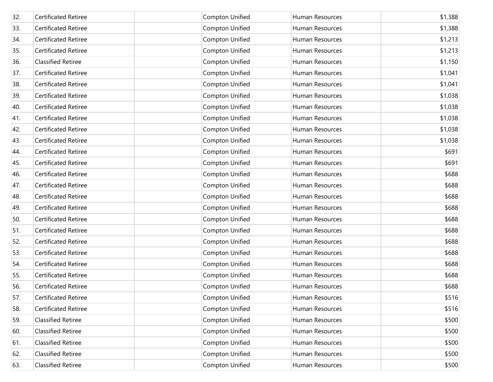| 32. | <b>Certificated Retiree</b> | Compton Unified        | Human Resources | \$1,388 |
|-----|-----------------------------|------------------------|-----------------|---------|
| 33. | <b>Certificated Retiree</b> | Compton Unified        | Human Resources | \$1,388 |
| 34. | Certificated Retiree        | Compton Unified        | Human Resources | \$1,213 |
| 35. | Certificated Retiree        | Compton Unified        | Human Resources | \$1,213 |
| 36. | <b>Classified Retiree</b>   | Compton Unified        | Human Resources | \$1,150 |
| 37. | Certificated Retiree        | Compton Unified        | Human Resources | \$1,041 |
| 38. | Certificated Retiree        | Compton Unified        | Human Resources | \$1,041 |
| 39. | Certificated Retiree        | Compton Unified        | Human Resources | \$1,038 |
| 40. | Certificated Retiree        | Compton Unified        | Human Resources | \$1,038 |
| 41. | Certificated Retiree        | Compton Unified        | Human Resources | \$1,038 |
| 42. | Certificated Retiree        | Compton Unified        | Human Resources | \$1,038 |
| 43. | Certificated Retiree        | Compton Unified        | Human Resources | \$1,038 |
| 44. | Certificated Retiree        | Compton Unified        | Human Resources | \$691   |
| 45. | Certificated Retiree        | Compton Unified        | Human Resources | \$691   |
| 46. | Certificated Retiree        | Compton Unified        | Human Resources | \$688   |
| 47. | Certificated Retiree        | Compton Unified        | Human Resources | \$688   |
| 48. | Certificated Retiree        | Compton Unified        | Human Resources | \$688   |
| 49. | Certificated Retiree        | Compton Unified        | Human Resources | \$688   |
| 50. | Certificated Retiree        | Compton Unified        | Human Resources | \$688   |
| 51. | Certificated Retiree        | Compton Unified        | Human Resources | \$688   |
| 52. | Certificated Retiree        | Compton Unified        | Human Resources | \$688   |
| 53. | Certificated Retiree        | Compton Unified        | Human Resources | \$688   |
| 54. | Certificated Retiree        | Compton Unified        | Human Resources | \$688   |
| 55. | Certificated Retiree        | Compton Unified        | Human Resources | \$688   |
| 56. | <b>Certificated Retiree</b> | Compton Unified        | Human Resources | \$688   |
| 57. | <b>Certificated Retiree</b> | <b>Compton Unified</b> | Human Resources | \$516   |
| 58. | <b>Certificated Retiree</b> | Compton Unified        | Human Resources | \$516   |
| 59. | <b>Classified Retiree</b>   | <b>Compton Unified</b> | Human Resources | \$500   |
| 60. | <b>Classified Retiree</b>   | Compton Unified        | Human Resources | \$500   |
| 61. | <b>Classified Retiree</b>   | <b>Compton Unified</b> | Human Resources | \$500   |
| 62. | <b>Classified Retiree</b>   | Compton Unified        | Human Resources | \$500   |
| 63. | <b>Classified Retiree</b>   | Compton Unified        | Human Resources | \$500   |